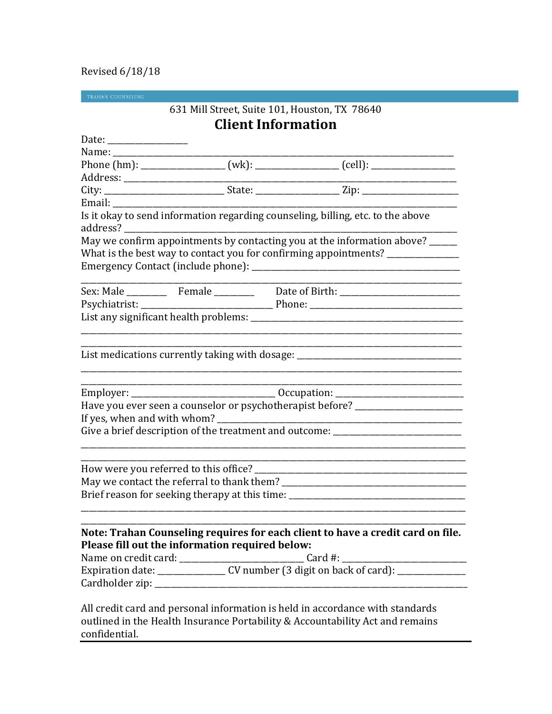## Revised 6/18/18

TRAHAN COUNSELING

# 631 Mill Street, Suite 101, Houston, TX 78640 **Client Information**

|                                                 |  | City: _________________________________State: ________________________Zip: _________________________                                                                                                                                                     |
|-------------------------------------------------|--|----------------------------------------------------------------------------------------------------------------------------------------------------------------------------------------------------------------------------------------------------------|
| Email: ______________                           |  |                                                                                                                                                                                                                                                          |
|                                                 |  | Is it okay to send information regarding counseling, billing, etc. to the above                                                                                                                                                                          |
|                                                 |  | May we confirm appointments by contacting you at the information above? _____<br>What is the best way to contact you for confirming appointments? ______________                                                                                         |
|                                                 |  |                                                                                                                                                                                                                                                          |
|                                                 |  |                                                                                                                                                                                                                                                          |
|                                                 |  |                                                                                                                                                                                                                                                          |
|                                                 |  | Employer: ___________________________________ Occupation: ______________________<br>Have you ever seen a counselor or psychotherapist before? ______________________<br>Give a brief description of the treatment and outcome: _________________________ |
|                                                 |  | Brief reason for seeking therapy at this time: _________________________________                                                                                                                                                                         |
| Please fill out the information required below: |  | Note: Trahan Counseling requires for each client to have a credit card on file.                                                                                                                                                                          |
|                                                 |  | All credit card and personal information is held in accordance with standards                                                                                                                                                                            |

outlined in the Health Insurance Portability & Accountability Act and remains confidential.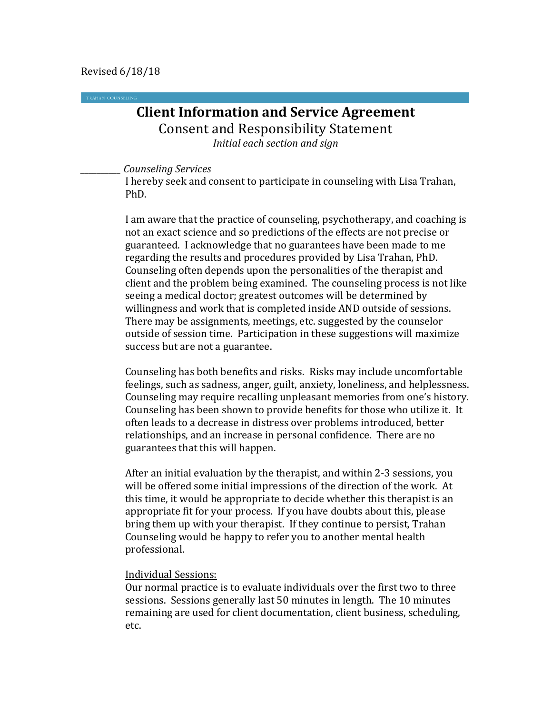## **Client Information and Service Agreement** Consent and Responsibility Statement *Initial each section and sign*

*\_\_\_\_\_\_\_\_\_\_ Counseling Services*

I hereby seek and consent to participate in counseling with Lisa Trahan, PhD.

I am aware that the practice of counseling, psychotherapy, and coaching is not an exact science and so predictions of the effects are not precise or guaranteed. I acknowledge that no guarantees have been made to me regarding the results and procedures provided by Lisa Trahan, PhD. Counseling often depends upon the personalities of the therapist and client and the problem being examined. The counseling process is not like seeing a medical doctor; greatest outcomes will be determined by willingness and work that is completed inside AND outside of sessions. There may be assignments, meetings, etc. suggested by the counselor outside of session time. Participation in these suggestions will maximize success but are not a guarantee.

Counseling has both benefits and risks. Risks may include uncomfortable feelings, such as sadness, anger, guilt, anxiety, loneliness, and helplessness. Counseling may require recalling unpleasant memories from one's history. Counseling has been shown to provide benefits for those who utilize it. It often leads to a decrease in distress over problems introduced, better relationships, and an increase in personal confidence. There are no guarantees that this will happen.

After an initial evaluation by the therapist, and within 2-3 sessions, you will be offered some initial impressions of the direction of the work. At this time, it would be appropriate to decide whether this therapist is an appropriate fit for your process. If you have doubts about this, please bring them up with your therapist. If they continue to persist, Trahan Counseling would be happy to refer you to another mental health professional.

#### Individual Sessions:

Our normal practice is to evaluate individuals over the first two to three sessions. Sessions generally last 50 minutes in length. The 10 minutes remaining are used for client documentation, client business, scheduling, etc.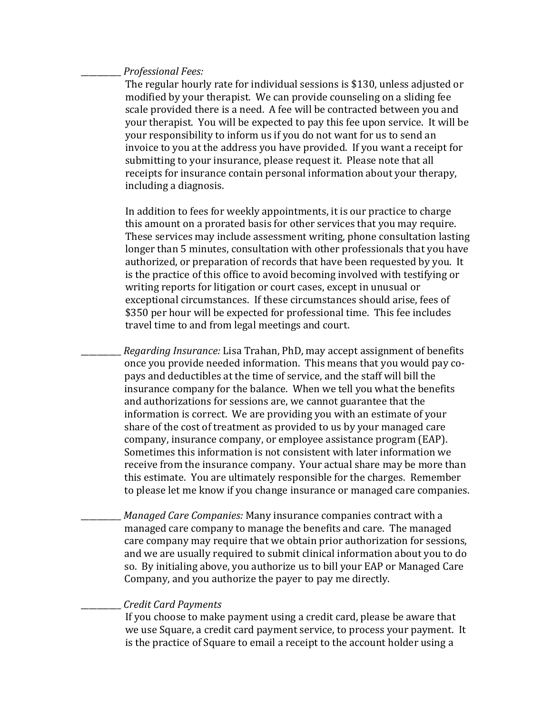#### \_\_\_\_\_\_\_\_\_\_ *Professional Fees:*

The regular hourly rate for individual sessions is \$130, unless adjusted or modified by your therapist. We can provide counseling on a sliding fee scale provided there is a need. A fee will be contracted between you and your therapist. You will be expected to pay this fee upon service. It will be your responsibility to inform us if you do not want for us to send an invoice to you at the address you have provided. If you want a receipt for submitting to your insurance, please request it. Please note that all receipts for insurance contain personal information about your therapy, including a diagnosis.

In addition to fees for weekly appointments, it is our practice to charge this amount on a prorated basis for other services that you may require. These services may include assessment writing, phone consultation lasting longer than 5 minutes, consultation with other professionals that you have authorized, or preparation of records that have been requested by you. It is the practice of this office to avoid becoming involved with testifying or writing reports for litigation or court cases, except in unusual or exceptional circumstances. If these circumstances should arise, fees of \$350 per hour will be expected for professional time. This fee includes travel time to and from legal meetings and court.

\_\_\_\_\_\_\_\_\_\_ *Regarding Insurance:* Lisa Trahan, PhD, may accept assignment of benefits once you provide needed information. This means that you would pay copays and deductibles at the time of service, and the staff will bill the insurance company for the balance. When we tell you what the benefits and authorizations for sessions are, we cannot guarantee that the information is correct. We are providing you with an estimate of your share of the cost of treatment as provided to us by your managed care company, insurance company, or employee assistance program (EAP). Sometimes this information is not consistent with later information we receive from the insurance company. Your actual share may be more than this estimate. You are ultimately responsible for the charges. Remember to please let me know if you change insurance or managed care companies.

\_\_\_\_\_\_\_\_\_\_ *Managed Care Companies:* Many insurance companies contract with a managed care company to manage the benefits and care. The managed care company may require that we obtain prior authorization for sessions, and we are usually required to submit clinical information about you to do so. By initialing above, you authorize us to bill your EAP or Managed Care Company, and you authorize the payer to pay me directly.

#### \_\_\_\_\_\_\_\_\_\_ *Credit Card Payments*

If you choose to make payment using a credit card, please be aware that we use Square, a credit card payment service, to process your payment. It is the practice of Square to email a receipt to the account holder using a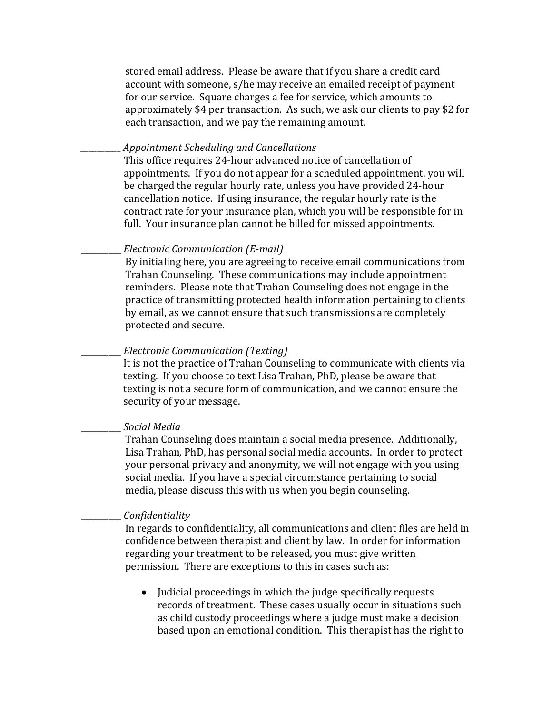stored email address. Please be aware that if you share a credit card account with someone, s/he may receive an emailed receipt of payment for our service. Square charges a fee for service, which amounts to approximately \$4 per transaction. As such, we ask our clients to pay \$2 for each transaction, and we pay the remaining amount.

#### \_\_\_\_\_\_\_\_\_\_ *Appointment Scheduling and Cancellations*

This office requires 24-hour advanced notice of cancellation of appointments. If you do not appear for a scheduled appointment, you will be charged the regular hourly rate, unless you have provided 24-hour cancellation notice. If using insurance, the regular hourly rate is the contract rate for your insurance plan, which you will be responsible for in full. Your insurance plan cannot be billed for missed appointments.

#### \_\_\_\_\_\_\_\_\_\_ *Electronic Communication (E-mail)*

By initialing here, you are agreeing to receive email communications from Trahan Counseling. These communications may include appointment reminders. Please note that Trahan Counseling does not engage in the practice of transmitting protected health information pertaining to clients by email, as we cannot ensure that such transmissions are completely protected and secure.

#### \_\_\_\_\_\_\_\_\_\_ *Electronic Communication (Texting)*

It is not the practice of Trahan Counseling to communicate with clients via texting. If you choose to text Lisa Trahan, PhD, please be aware that texting is not a secure form of communication, and we cannot ensure the security of your message.

#### \_\_\_\_\_\_\_\_\_\_ *Social Media*

Trahan Counseling does maintain a social media presence. Additionally, Lisa Trahan, PhD, has personal social media accounts. In order to protect your personal privacy and anonymity, we will not engage with you using social media. If you have a special circumstance pertaining to social media, please discuss this with us when you begin counseling.

## \_\_\_\_\_\_\_\_\_\_ *Confidentiality*

In regards to confidentiality, all communications and client files are held in confidence between therapist and client by law. In order for information regarding your treatment to be released, you must give written permission. There are exceptions to this in cases such as:

• Judicial proceedings in which the judge specifically requests records of treatment. These cases usually occur in situations such as child custody proceedings where a judge must make a decision based upon an emotional condition. This therapist has the right to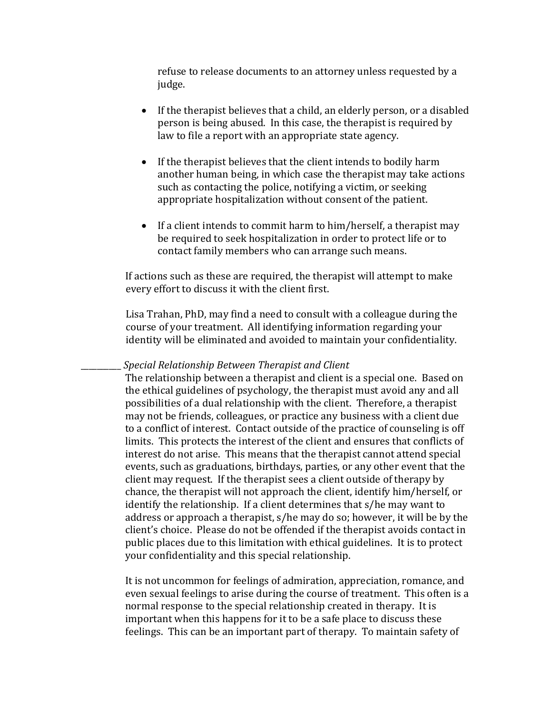refuse to release documents to an attorney unless requested by a judge.

- If the therapist believes that a child, an elderly person, or a disabled person is being abused. In this case, the therapist is required by law to file a report with an appropriate state agency.
- If the therapist believes that the client intends to bodily harm another human being, in which case the therapist may take actions such as contacting the police, notifying a victim, or seeking appropriate hospitalization without consent of the patient.
- If a client intends to commit harm to him/herself, a therapist may be required to seek hospitalization in order to protect life or to contact family members who can arrange such means.

 If actions such as these are required, the therapist will attempt to make every effort to discuss it with the client first.

Lisa Trahan, PhD, may find a need to consult with a colleague during the course of your treatment. All identifying information regarding your identity will be eliminated and avoided to maintain your confidentiality.

### \_\_\_\_\_\_\_\_\_\_ *Special Relationship Between Therapist and Client*

The relationship between a therapist and client is a special one. Based on the ethical guidelines of psychology, the therapist must avoid any and all possibilities of a dual relationship with the client. Therefore, a therapist may not be friends, colleagues, or practice any business with a client due to a conflict of interest. Contact outside of the practice of counseling is off limits. This protects the interest of the client and ensures that conflicts of interest do not arise. This means that the therapist cannot attend special events, such as graduations, birthdays, parties, or any other event that the client may request. If the therapist sees a client outside of therapy by chance, the therapist will not approach the client, identify him/herself, or identify the relationship. If a client determines that s/he may want to address or approach a therapist, s/he may do so; however, it will be by the client's choice. Please do not be offended if the therapist avoids contact in public places due to this limitation with ethical guidelines. It is to protect your confidentiality and this special relationship.

It is not uncommon for feelings of admiration, appreciation, romance, and even sexual feelings to arise during the course of treatment. This often is a normal response to the special relationship created in therapy. It is important when this happens for it to be a safe place to discuss these feelings. This can be an important part of therapy. To maintain safety of